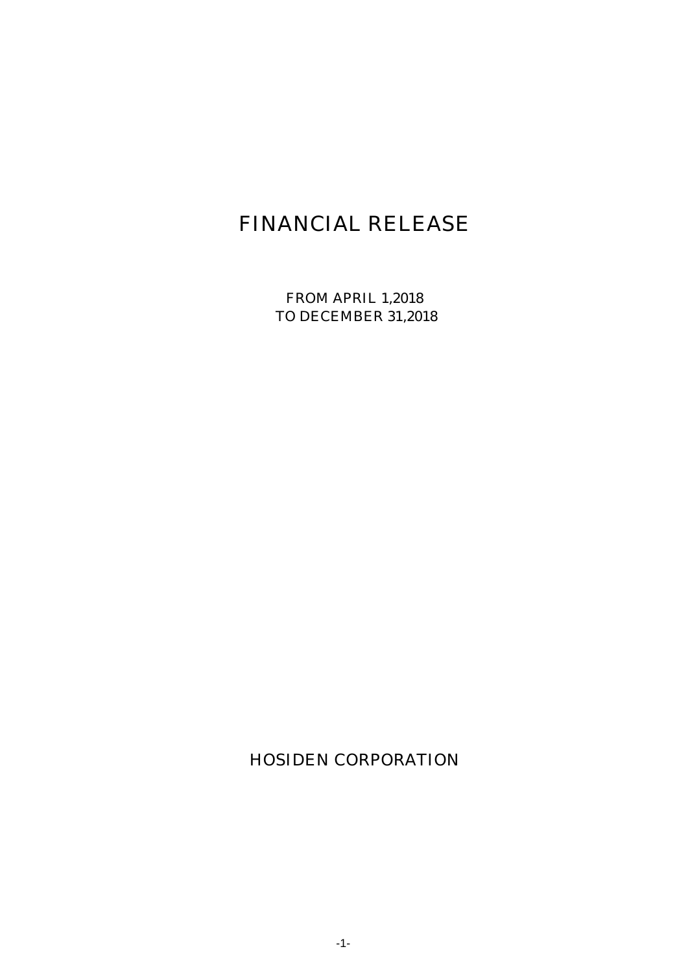# FINANCIAL RELEASE

FROM APRIL 1,2018 TO DECEMBER 31,2018

HOSIDEN CORPORATION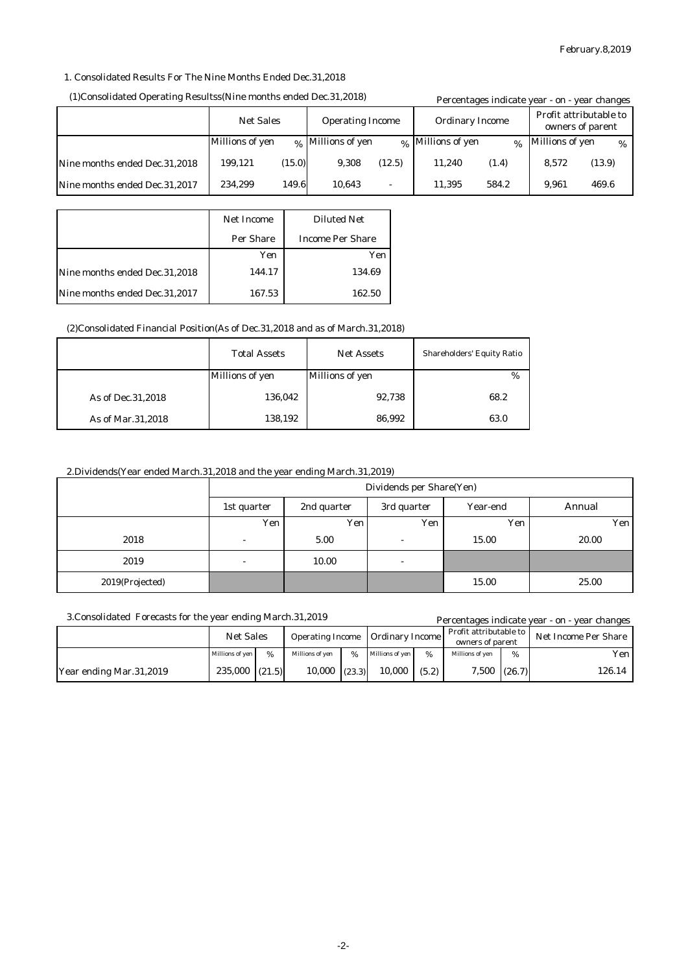## 1. Consolidated Results For The Nine Months Ended Dec.31,2018

#### (1)Consolidated Operating Resultss(Nine months ended Dec.31,2018)

|                               | (1)Consolidated Operating Resultss(Nine months ended Dec.31,2018) |        |                              |        |                                            | Percentages indicate year - on - year changes |                 |        |  |
|-------------------------------|-------------------------------------------------------------------|--------|------------------------------|--------|--------------------------------------------|-----------------------------------------------|-----------------|--------|--|
|                               | <b>Net Sales</b><br><b>Operating Income</b>                       |        | <b>Ordinary Income</b>       |        | Profit attributable to<br>owners of parent |                                               |                 |        |  |
|                               | Millions of yen                                                   |        | <sub>%</sub> Millions of yen |        | <sub>%</sub> Millions of yen               | $\alpha$                                      | Millions of yen | $\%$   |  |
| Nine months ended Dec.31,2018 | 199.121                                                           | (15.0) | 9.308                        | (12.5) | 11.240                                     | (1.4)                                         | 8.572           | (13.9) |  |
| Nine months ended Dec.31,2017 | 234.299                                                           | 149.6  | 10.643                       | ٠      | 11.395                                     | 584.2                                         | 9.961           | 469.6  |  |

|                               | Net Income | <b>Diluted Net</b>      |
|-------------------------------|------------|-------------------------|
|                               | Per Share  | <b>Income Per Share</b> |
|                               | Yen        | Yen                     |
| Nine months ended Dec.31,2018 | 144.17     | 134.69                  |
| Nine months ended Dec.31,2017 | 167.53     | 162.50                  |

### (2)Consolidated Financial Position(As of Dec.31,2018 and as of March.31,2018)

|                     | <b>Total Assets</b>    | <b>Net Assets</b>      | <b>Shareholders' Equity Ratio</b> |
|---------------------|------------------------|------------------------|-----------------------------------|
|                     | <b>Millions of yen</b> | <b>Millions of yen</b> | $\%$                              |
| As of Dec. 31, 2018 | 136,042                | 92,738                 | 68.2                              |
| As of Mar.31,2018   | 138,192                | 86,992                 | 63.0                              |

## 2.Dividends(Year ended March.31,2018 and the year ending March.31,2019)

|                 | Dividends per Share(Yen) |             |                          |          |        |  |
|-----------------|--------------------------|-------------|--------------------------|----------|--------|--|
|                 | 1st quarter              | 2nd quarter | 3rd quarter              | Year-end | Annual |  |
|                 | Yen                      | Yen         | Yen                      | Yen      | Yen    |  |
| 2018            | $\overline{\phantom{a}}$ | 5.00        | $\overline{\phantom{a}}$ | 15.00    | 20.00  |  |
| 2019            | $\overline{\phantom{a}}$ | 10.00       | $\overline{\phantom{a}}$ |          |        |  |
| 2019(Projected) |                          |             |                          | 15.00    | 25.00  |  |

#### 3.Consolidated Forecasts for the year ending March.31,2019

| 3. Consolidated Forecasts for the year ending March. 31, 2019 |                    |               |                                                   |               |                                            |       |                      |      | Percentages indicate year - on - year changes |
|---------------------------------------------------------------|--------------------|---------------|---------------------------------------------------|---------------|--------------------------------------------|-------|----------------------|------|-----------------------------------------------|
|                                                               | <b>Net Sales</b>   |               | <b>Ordinary Income</b><br><b>Operating Income</b> |               | Profit attributable to<br>owners of parent |       | Net Income Per Share |      |                                               |
|                                                               | Millions of yen    | $\frac{0}{6}$ | Millions of ven                                   | $\frac{9}{6}$ | Millions of ven                            | %     | Millions of yen      | $\%$ | Yen l                                         |
| Year ending Mar.31,2019                                       | $235,000$ $(21.5)$ |               | 10.000                                            | (23.3)        | 10.000                                     | (5.2) | $7,500$ $(26.7)$     |      | 126.14                                        |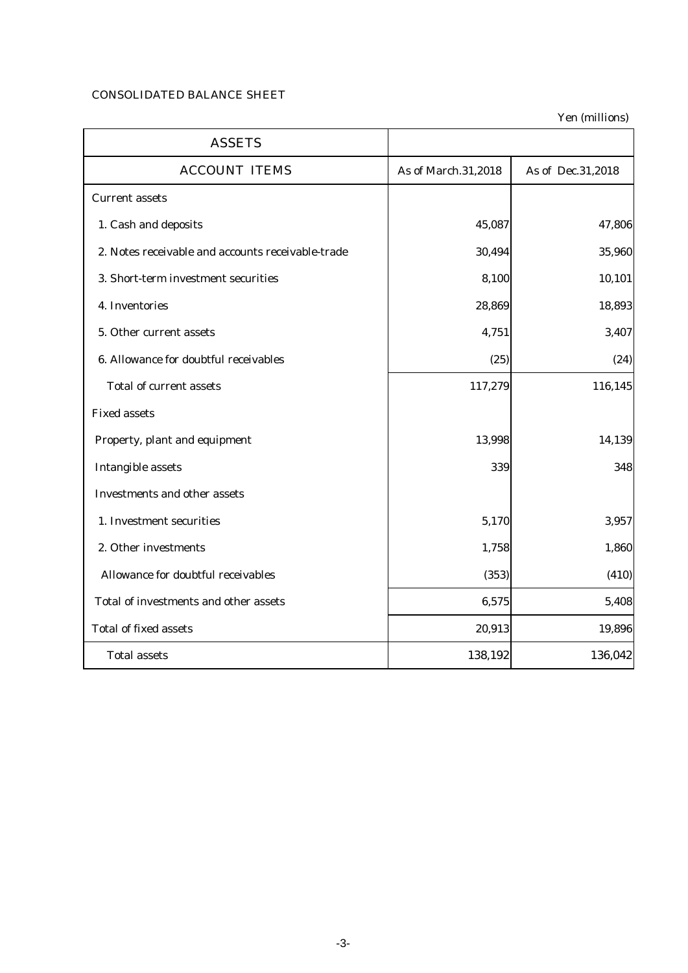## CONSOLIDATED BALANCE SHEET

Yen (millions)

| <b>ASSETS</b>                                     |                     |                     |
|---------------------------------------------------|---------------------|---------------------|
| <b>ACCOUNT ITEMS</b>                              | As of March.31,2018 | As of Dec. 31, 2018 |
| <b>Current assets</b>                             |                     |                     |
| 1. Cash and deposits                              | 45,087              | 47,806              |
| 2. Notes receivable and accounts receivable-trade | 30,494              | 35,960              |
| 3. Short-term investment securities               | 8,100               | 10,101              |
| 4. Inventories                                    | 28,869              | 18,893              |
| 5. Other current assets                           | 4,751               | 3,407               |
| 6. Allowance for doubtful receivables             | (25)                | (24)                |
| <b>Total of current assets</b>                    | 117,279             | 116,145             |
| <b>Fixed assets</b>                               |                     |                     |
| Property, plant and equipment                     | 13,998              | 14,139              |
| <b>Intangible assets</b>                          | 339                 | 348                 |
| <b>Investments and other assets</b>               |                     |                     |
| 1. Investment securities                          | 5,170               | 3,957               |
| 2. Other investments                              | 1,758               | 1,860               |
| Allowance for doubtful receivables                | (353)               | (410)               |
| Total of investments and other assets             | 6,575               | 5,408               |
| <b>Total of fixed assets</b>                      | 20,913              | 19,896              |
| <b>Total assets</b>                               | 138,192             | 136,042             |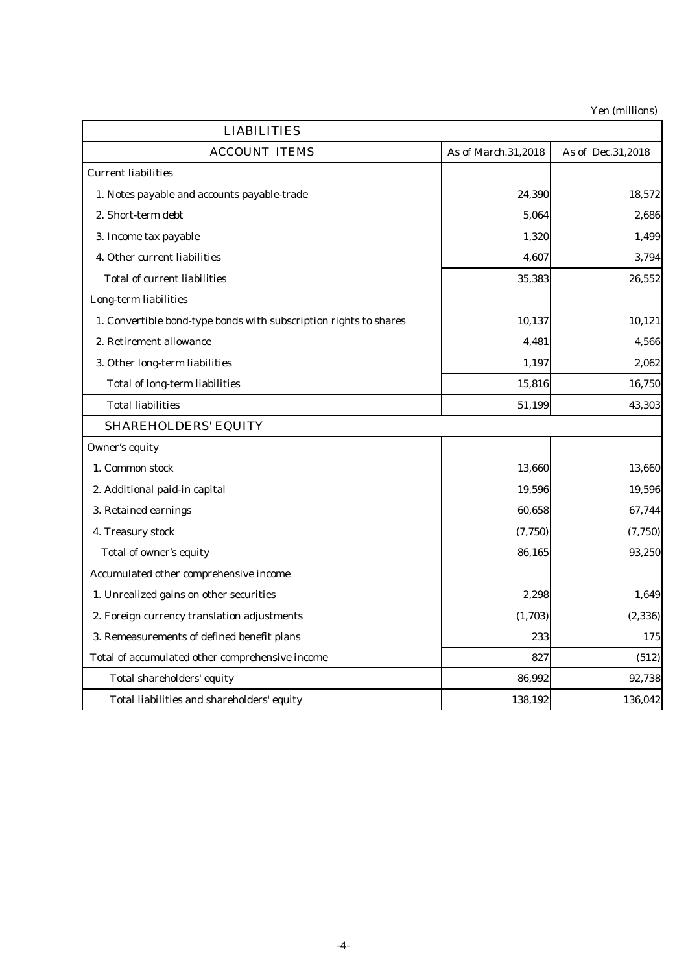Yen (millions)

| <b>LIABILITIES</b>                                                |                     |                   |
|-------------------------------------------------------------------|---------------------|-------------------|
| <b>ACCOUNT ITEMS</b>                                              | As of March.31,2018 | As of Dec.31,2018 |
| <b>Current liabilities</b>                                        |                     |                   |
| 1. Notes payable and accounts payable-trade                       | 24,390              | 18,572            |
| 2. Short-term debt                                                | 5,064               | 2,686             |
| 3. Income tax payable                                             | 1,320               | 1,499             |
| 4. Other current liabilities                                      | 4,607               | 3,794             |
| <b>Total of current liabilities</b>                               | 35,383              | 26,552            |
| Long-term liabilities                                             |                     |                   |
| 1. Convertible bond-type bonds with subscription rights to shares | 10,137              | 10,121            |
| 2. Retirement allowance                                           | 4,481               | 4,566             |
| 3. Other long-term liabilities                                    | 1,197               | 2,062             |
| <b>Total of long-term liabilities</b>                             | 15,816              | 16,750            |
| <b>Total liabilities</b>                                          | 51,199              | 43,303            |
| <b>SHAREHOLDERS' EQUITY</b>                                       |                     |                   |
| <b>Owner's equity</b>                                             |                     |                   |
| 1. Common stock                                                   | 13,660              | 13,660            |
| 2. Additional paid-in capital                                     | 19,596              | 19,596            |
| 3. Retained earnings                                              | 60,658              | 67,744            |
| 4. Treasury stock                                                 | (7, 750)            | (7, 750)          |
| Total of owner's equity                                           | 86,165              | 93,250            |
| Accumulated other comprehensive income                            |                     |                   |
| 1. Unrealized gains on other securities                           | 2,298               | 1,649             |
| 2. Foreign currency translation adjustments                       | (1,703)             | (2, 336)          |
| 3. Remeasurements of defined benefit plans                        | 233                 | 175               |
| Total of accumulated other comprehensive income                   | 827                 | (512)             |
| Total shareholders' equity                                        | 86,992              | 92,738            |
| Total liabilities and shareholders' equity                        | 138,192             | 136,042           |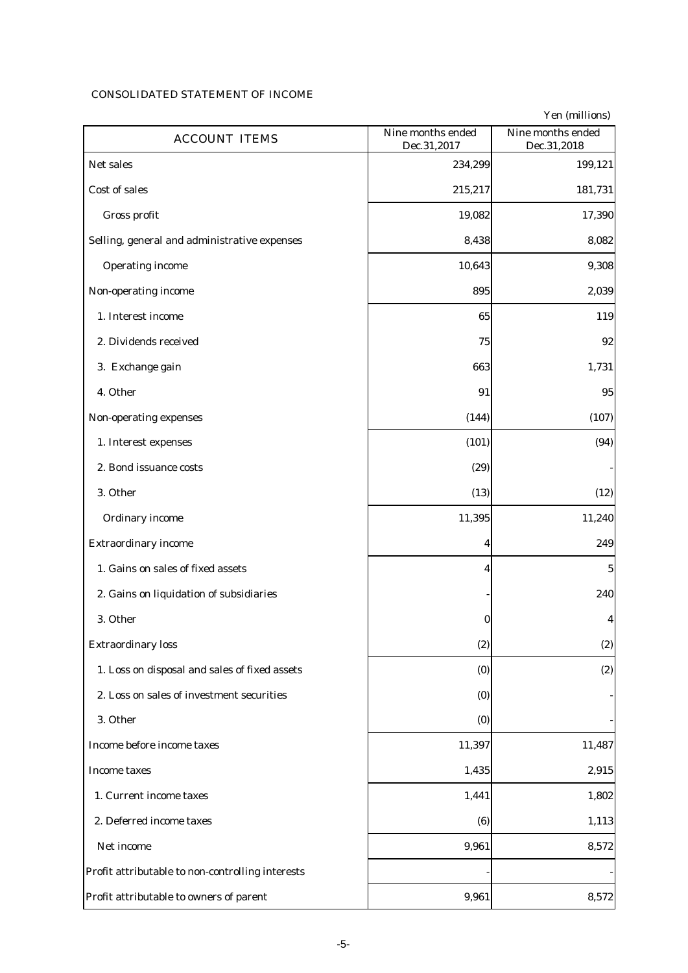# CONSOLIDATED STATEMENT OF INCOME

|                                                  | Nine months ended | Yen (millions)<br>Nine months ended |
|--------------------------------------------------|-------------------|-------------------------------------|
| <b>ACCOUNT ITEMS</b>                             | Dec.31,2017       | Dec.31,2018                         |
| Net sales                                        | 234,299           | 199,121                             |
| <b>Cost of sales</b>                             | 215,217           | 181,731                             |
| Gross profit                                     | 19,082            | 17,390                              |
| Selling, general and administrative expenses     | 8,438             | 8,082                               |
| <b>Operating income</b>                          | 10,643            | 9,308                               |
| Non-operating income                             | 895               | 2,039                               |
| 1. Interest income                               | 65                | 119                                 |
| 2. Dividends received                            | 75                | 92                                  |
| 3. Exchange gain                                 | 663               | 1,731                               |
| 4. Other                                         | 91                | 95                                  |
| Non-operating expenses                           | (144)             | (107)                               |
| 1. Interest expenses                             | (101)             | (94)                                |
| 2. Bond issuance costs                           | (29)              |                                     |
| 3. Other                                         | (13)              | (12)                                |
| <b>Ordinary income</b>                           | 11,395            | 11,240                              |
| <b>Extraordinary income</b>                      | 4                 | 249                                 |
| 1. Gains on sales of fixed assets                | 4                 | $\mathbf 5$                         |
| 2. Gains on liquidation of subsidiaries          |                   | 240                                 |
| 3. Other                                         | 0                 | 4                                   |
| <b>Extraordinary loss</b>                        | (2)               | (2)                                 |
| 1. Loss on disposal and sales of fixed assets    | (0)               | (2)                                 |
| 2. Loss on sales of investment securities        | (0)               |                                     |
| 3. Other                                         | (0)               |                                     |
| Income before income taxes                       | 11,397            | 11,487                              |
| <b>Income taxes</b>                              | 1,435             | 2,915                               |
| 1. Current income taxes                          | 1,441             | 1,802                               |
| 2. Deferred income taxes                         | (6)               | 1,113                               |
| Net income                                       | 9,961             | 8,572                               |
| Profit attributable to non-controlling interests |                   |                                     |
| Profit attributable to owners of parent          | 9,961             | 8,572                               |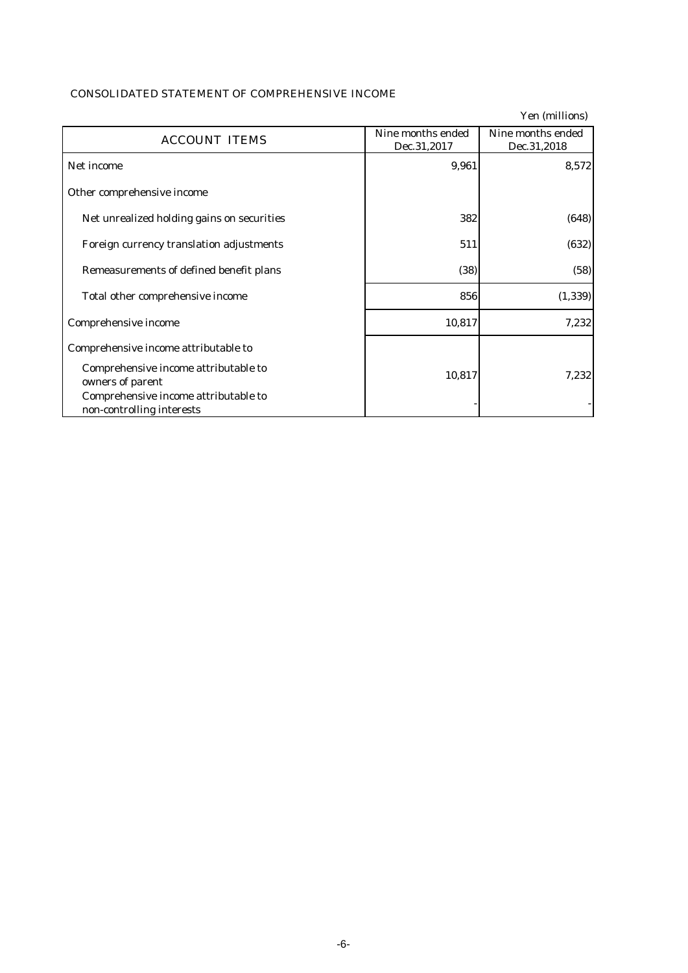|                                                                   |                                  | Yen (millions)                   |
|-------------------------------------------------------------------|----------------------------------|----------------------------------|
| <b>ACCOUNT ITEMS</b>                                              | Nine months ended<br>Dec.31,2017 | Nine months ended<br>Dec.31,2018 |
| Net income                                                        | 9,961                            | 8,572                            |
| Other comprehensive income                                        |                                  |                                  |
| Net unrealized holding gains on securities                        | 382                              | (648)                            |
| Foreign currency translation adjustments                          | 511                              | (632)                            |
| Remeasurements of defined benefit plans                           | (38)                             | (58)                             |
| Total other comprehensive income                                  | 856                              | (1, 339)                         |
| Comprehensive income                                              | 10,817                           | 7,232                            |
| Comprehensive income attributable to                              |                                  |                                  |
| Comprehensive income attributable to<br>owners of parent          | 10,817                           | 7,232                            |
| Comprehensive income attributable to<br>non-controlling interests |                                  |                                  |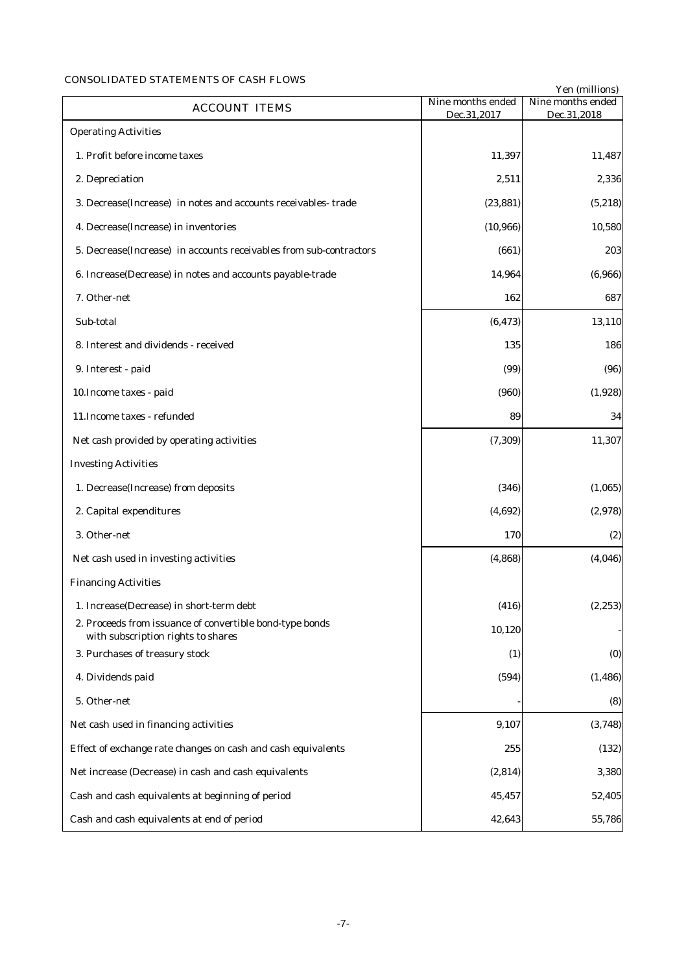## CONSOLIDATED STATEMENTS OF CASH FLOWS

|                                                                                                |                                  | Yen (millions)                   |
|------------------------------------------------------------------------------------------------|----------------------------------|----------------------------------|
| <b>ACCOUNT ITEMS</b>                                                                           | Nine months ended<br>Dec.31,2017 | Nine months ended<br>Dec.31,2018 |
| <b>Operating Activities</b>                                                                    |                                  |                                  |
| 1. Profit before income taxes                                                                  | 11,397                           | 11,487                           |
| 2. Depreciation                                                                                | 2,511                            | 2,336                            |
| 3. Decrease(Increase) in notes and accounts receivables-trade                                  | (23, 881)                        | (5, 218)                         |
| 4. Decrease(Increase) in inventories                                                           | (10, 966)                        | 10,580                           |
| 5. Decrease (Increase) in accounts receivables from sub-contractors                            | (661)                            | 203                              |
| 6. Increase(Decrease) in notes and accounts payable-trade                                      | 14,964                           | (6,966)                          |
| 7. Other-net                                                                                   | 162                              | 687                              |
| Sub-total                                                                                      | (6, 473)                         | 13,110                           |
| 8. Interest and dividends - received                                                           | 135                              | 186                              |
| 9. Interest - paid                                                                             | (99)                             | (96)                             |
| 10. Income taxes - paid                                                                        | (960)                            | (1,928)                          |
| 11. Income taxes - refunded                                                                    | 89                               | 34                               |
| Net cash provided by operating activities                                                      | (7, 309)                         | 11,307                           |
| <b>Investing Activities</b>                                                                    |                                  |                                  |
| 1. Decrease(Increase) from deposits                                                            | (346)                            | (1,065)                          |
| 2. Capital expenditures                                                                        | (4, 692)                         | (2,978)                          |
| 3. Other-net                                                                                   | 170                              | (2)                              |
| Net cash used in investing activities                                                          | (4, 868)                         | (4,046)                          |
| <b>Financing Activities</b>                                                                    |                                  |                                  |
| 1. Increase(Decrease) in short-term debt                                                       | (416)                            | (2, 253)                         |
| 2. Proceeds from issuance of convertible bond-type bonds<br>with subscription rights to shares | 10,120                           |                                  |
| 3. Purchases of treasury stock                                                                 | (1)                              | (0)                              |
| 4. Dividends paid                                                                              | (594)                            | (1, 486)                         |
| 5. Other-net                                                                                   |                                  | (8)                              |
| Net cash used in financing activities                                                          | 9,107                            | (3,748)                          |
| Effect of exchange rate changes on cash and cash equivalents                                   | 255                              | (132)                            |
| Net increase (Decrease) in cash and cash equivalents                                           | (2, 814)                         | 3,380                            |
| Cash and cash equivalents at beginning of period                                               | 45,457                           | 52,405                           |
| Cash and cash equivalents at end of period                                                     | 42,643                           | 55,786                           |